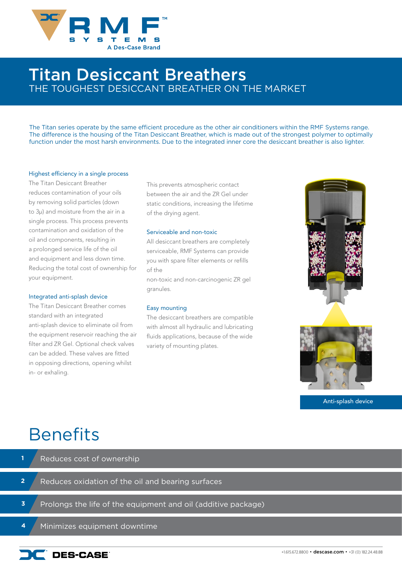

### Titan Desiccant Breathers THE TOUGHEST DESICCANT BREATHER ON THE MARKET

The Titan series operate by the same efficient procedure as the other air conditioners within the RMF Systems range. The difference is the housing of the Titan Desiccant Breather, which is made out of the strongest polymer to optimally function under the most harsh environments. Due to the integrated inner core the desiccant breather is also lighter.

#### Highest efficiency in a single process

The Titan Desiccant Breather reduces contamination of your oils by removing solid particles (down to 3µ) and moisture from the air in a single process. This process prevents contamination and oxidation of the oil and components, resulting in a prolonged service life of the oil and equipment and less down time. Reducing the total cost of ownership for your equipment.

#### Integrated anti-splash device

The Titan Desiccant Breather comes standard with an integrated anti-splash device to eliminate oil from the equipment reservoir reaching the air filter and ZR Gel. Optional check valves can be added. These valves are fitted in opposing directions, opening whilst in- or exhaling.

This prevents atmospheric contact between the air and the ZR Gel under static conditions, increasing the lifetime of the drying agent.

#### Serviceable and non-toxic

All desiccant breathers are completely serviceable, RMF Systems can provide you with spare filter elements or refills of the

non-toxic and non-carcinogenic ZR gel granules.

#### Easy mounting

The desiccant breathers are compatible with almost all hydraulic and lubricating fluids applications, because of the wide variety of mounting plates.



Anti-splash device

## **Benefits**

- Reduces oxidation of the oil and bearing surfaces Reduces cost of ownership Prolongs the life of the equipment and oil (additive package) **2 1 3**
	- Minimizes equipment downtime **4**